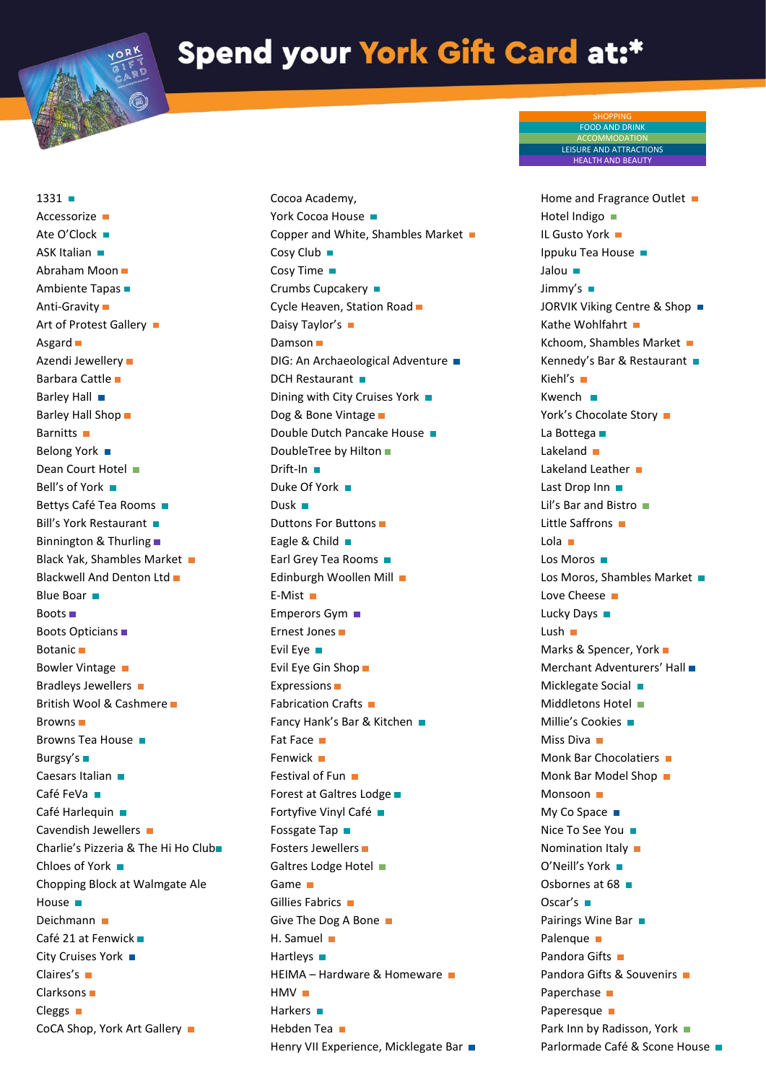## Spend your York Gift Card at:\*

Cocoa Academy,

 $1331 1331 -$ Accessorize **D** Ate O'Clock **ASK Italian** Abraham Moon Ambiente Tapas Anti-Gravity Art of Protest Gallery Asgard  $\blacksquare$ Azendi Jewellery Barbara Cattle Barley Hall Barley Hall Shop  $\blacksquare$ Barnitts **n** Belong York ■ Dean Court Hotel Bell's of York ■ Bettys Café Tea Rooms Bill's York Restaurant Binnington & Thurling Black Yak, Shambles Market Blackwell And Denton Ltd  $\blacksquare$ **Blue Boar** Boots Boots Opticians Botanic Bowler Vintage ■ Bradleys Jewellers **Bradleys** British Wool & Cashmere Browns  $\blacksquare$ Browns Tea House Burgsy's Caesars Italian Café FeVa **■** Café Harlequin ■ Cavendish Jewellers Charlie's Pizzeria & The Hi Ho Club Chloes of York ■ Chopping Block at Walmgate Ale House **n** Deichmann Café 21 at Fenwick City Cruises York ■ Claires's Clarksons Cleggs  $\blacksquare$ CoCA Shop, York Art Gallery

York Cocoa House ■ Copper and White, Shambles Market Cosy Club ■ Cosy Time Crumbs Cupcakery ■ Cycle Heaven, Station Road Daisy Taylor's ■ Damson  $\blacksquare$ DIG: An Archaeological Adventure DCH Restaurant Dining with City Cruises York  $\blacksquare$ Dog & Bone Vintage ■ Double Dutch Pancake House DoubleTree by Hilton Drift-In Duke Of York ■ Dusk  $\blacksquare$ Duttons For Buttons Eagle & Child Earl Grey Tea Rooms Edinburgh Woollen Mill E-Mist Emperors Gym ■ Ernest Jones Evil Eye Evil Eye Gin Shop Expressions Fabrication Crafts Fancy Hank's Bar & Kitchen Fat Face ■ Fenwick **H** Festival of Fun Forest at Galtres Lodge Fortyfive Vinyl Café Fossgate Tap Fosters Jewellers Galtres Lodge Hotel Game Gillies Fabrics Give The Dog A Bone H. Samuel Hartleys  $\blacksquare$ HEIMA – Hardware & Homeware  $HMV$ Harkers **II** Hebden Tea Henry VII Experience, Micklegate Bar ■

Home and Fragrance Outlet ■ Hotel Indigo IL Gusto York Ippuku Tea House Jalou **m** Jimmy's JORVIK Viking Centre & Shop ■ Kathe Wohlfahrt ■ Kchoom, Shambles Market Kennedy's Bar & Restaurant Kiehl's Kwench **n** York's Chocolate Story La Bottega **■** Lakeland **n** Lakeland Leather Last Drop Inn Lil's Bar and Bistro Little Saffrons ■ Lola  $\blacksquare$ Los Moros Los Moros, Shambles Market Love Cheese ■ Lucky Days ■ Lush  $\blacksquare$ Marks & Spencer, York Merchant Adventurers' Hall Micklegate Social Middletons Hotel Millie's Cookies **n** Miss Diva ■ Monk Bar Chocolatiers Monk Bar Model Shop Monsoon **D** My Co Space ■ Nice To See You ■ Nomination Italy ■ O'Neill's York Osbornes at 68 Oscar's  $\blacksquare$ Pairings Wine Bar Palenque **D** Pandora Gifts Pandora Gifts & Souvenirs Paperchase  $\blacksquare$ Paperesque **D** Park Inn by Radisson, York ■ Parlormade Café & Scone House ■

SHOPPING FOOD AND DRINK ACCOMMODATION LEISURE AND ATTRACTIONS HEALTH AND BEAUTY